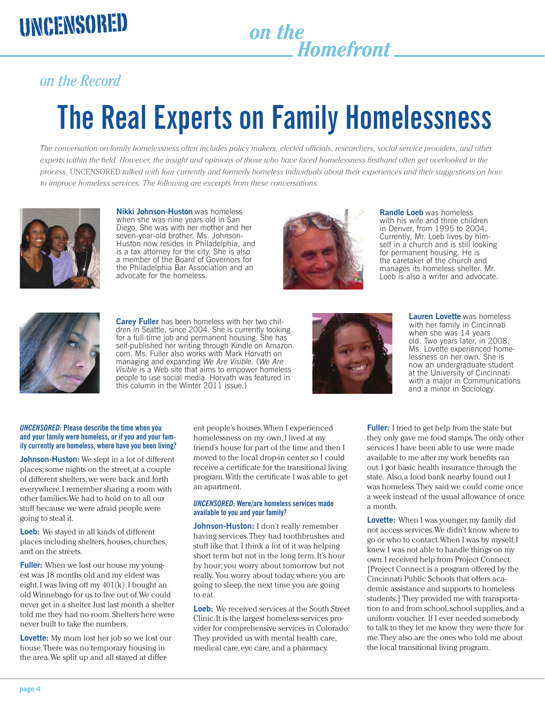# *Homefront*

### *on the Record*

## **The Real Experts on Family Homelessness**

*The conversation on family homelessness often includes policy makers, elected officials, researchers, social service providers, and other*  experts within the field. However, the insight and opinions of those who have faced homelessness firsthand often get overlooked in the *process.* UNCENSORED *talked with four currently and formerly homeless individuals about their experiences and their suggestions on how to improve homeless services. The following are excerpts from these conversations:* 



**Nikki Johnson-Huston** was homeless when she was nine years old in San Diego. She was with her mother and her seven-year-old brother. Ms. Johnson-Huston now resides in Philadelphia, and is a tax attorney for the city. She is also a member of the Board of Governors for the Philadelphia Bar Association and an advocate for the homeless.



**Randle Loeb** was homeless with his wife and three children in Denver, from 1995 to 2004. Currently, Mr. Loeb lives by himself in a church and is still looking for permanent housing. He is the caretaker of the church and manages its homeless shelter. Mr. Loeb is also a writer and advocate.



**Carey Fuller** has been homeless with her two children in Seattle, since 2004. She is currently looking for a full-time job and permanent housing. She has self-published her writing through Kindle on Amazon. com. Ms. Fuller also works with Mark Horvath on managing and expanding *We Are Visible.* (*We Are Visible* is a Web site that aims to empower homeless people to use social media. Horvath was featured in this column in the Winter 2011 issue.)



**Lauren Lovette** was homeless with her family in Cincinnati when she was 14 years old. Two years later, in 2008, Ms. Lovette experienced homelessness on her own. She is now an undergraduate student at the University of Cincinnati with a major in Communications and a minor in Sociology.

#### *UNCENSORED:* **Please describe the time when you and your family were homeless, or if you and your family currently are homeless, where have you been living?**

**Johnson-Huston:** We slept in a lot of different places; some nights on the street, at a couple of different shelters, we were back and forth everywhere. I remember sharing a room with other families. We had to hold on to all our stuff because we were afraid people were going to steal it.

**Loeb:** We stayed in all kinds of different places including shelters, houses, churches, and on the streets.

**Fuller:** When we lost our house my youngest was 18 months old and my eldest was eight. I was living off my 401(k). I bought an old Winnebago for us to live out of. We could never get in a shelter. Just last month a shelter told me they had no room. Shelters here were never built to take the numbers.

**Lovette:** My mom lost her job so we lost our house. There was no temporary housing in the area. We split up and all stayed at differ-

ent people's houses. When I experienced homelessness on my own, I lived at my friend's house for part of the time and then I moved to the local drop-in center so I could receive a certificate for the transitional living program. With the certificate I was able to get an apartment.

#### *UNCENSORED***: Were/are homeless services made available to you and your family?**

**Johnson-Huston:** I don't really remember having services. They had toothbrushes and stuff like that. I think a lot of it was helping short term but not in the long term. It's hour by hour; you worry about tomorrow but not really. You worry about today, where you are going to sleep, the next time you are going to eat.

**Loeb:** We received services at the South Street Clinic. It is the largest homeless services provider for comprehensive services in Colorado. They provided us with mental health care, medical care, eye care, and a pharmacy.

**Fuller:** I tried to get help from the state but they only gave me food stamps. The only other services I have been able to use were made available to me after my work benefits ran out. I got basic health insurance through the state. Also, a food bank nearby found out I was homeless. They said we could come once a week instead of the usual allowance of once a month.

**EXERCISION FAMILY HOMESSIESS**<br> **EXERCISION FAMILY HOMESSIESS**<br> **SEXURENCES ON FAMILY HOMESSIESS**<br> **SEXURENCES ON FAMILY HOMESSIESS**<br> **SEXURENCES ON FAMILY HOMESSIESS**<br> **SEXURENCES ON THE SEXURENCES**<br> **EXERCISE CONTRACT C Lovette:** When I was younger, my family did not access services. We didn't know where to go or who to contact. When I was by myself, I knew I was not able to handle things on my own. I received help from Project Connect. [Project Connect is a program offered by the Cincinnati Public Schools that offers academic assistance and supports to homeless students.] They provided me with transportation to and from school, school supplies, and a uniform voucher. If I ever needed somebody to talk to they let me know they were there for me. They also are the ones who told me about the local transitional living program.